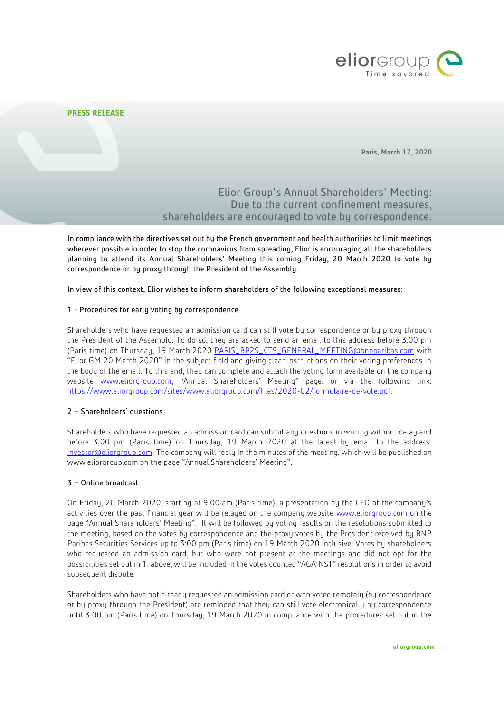

## **PRESS RELEASE**

Paris, March 17, 2020

# Elior Group's Annual Shareholders' Meeting: Due to the current confinement measures, shareholders are encouraged to vote by correspondence.

In compliance with the directives set out by the French government and health authorities to limit meetings wherever possible in order to stop the coronavirus from spreading, Elior is encouraging all the shareholders planning to attend its Annual Shareholders' Meeting this coming Friday, 20 March 2020 to vote by correspondence or by proxy through the President of the Assembly.

In view of this context, Elior wishes to inform shareholders of the following exceptional measures:

## 1 - Procedures for early voting by correspondence

Shareholders who have requested an admission card can still vote by correspondence or by proxy through the President of the Assembly. To do so, they are asked to send an email to this address before 3:00 pm (Paris time) on Thursday, 19 March 2020 [PARIS\\_BP2S\\_CTS\\_GENERAL\\_MEETING@bnpparibas.com](mailto:PARIS_BP2S_CTS_GENERAL_MEETING@bnpparibas.com) with "Elior GM 20 March 2020" in the subject field and giving clear instructions on their voting preferences in the body of the email. To this end, they can complete and attach the voting form available on the company website [www.eliorgroup.com](http://www.eliorgroup.com/), "Annual Shareholders' Meeting" page, or via the following link: [https://www.eliorgroup.com/sites/www.eliorgroup.com/files/2020-02/formulaire-de-vote.pdf.](https://www.eliorgroup.com/sites/www.eliorgroup.com/files/2020-02/formulaire-de-vote.pdf) 

### 2 – Shareholders' questions

Shareholders who have requested an admission card can submit any questions in writing without delay and before 3:00 pm (Paris time) on Thursday, 19 March 2020 at the latest by email to the address: [investor@eliorgroup.com.](mailto:investor@eliorgroup.com) The company will reply in the minutes of the meeting, which will be published on www.eliorgroup.com on the page "Annual Shareholders' Meeting".

#### 3 – Online broadcast

On Friday, 20 March 2020, starting at 9:00 am (Paris time), a presentation by the CEO of the company's activities over the past financial year will be relayed on the company website [www.eliorgroup.com](http://www.eliorgroup.com/) on the page "Annual Shareholders' Meeting". It will be followed by voting results on the resolutions submitted to the meeting, based on the votes by correspondence and the proxy votes by the President received by BNP Paribas Securities Services up to 3:00 pm (Paris time) on 19 March 2020 inclusive. Votes by shareholders who requested an admission card, but who were not present at the meetings and did not opt for the possibilities set out in 1. above, will be included in the votes counted "AGAINST" resolutions in order to avoid subsequent dispute.

Shareholders who have not already requested an admission card or who voted remotely (by correspondence or by proxy through the President) are reminded that they can still vote electronically by correspondence until 3:00 pm (Paris time) on Thursday, 19 March 2020 in compliance with the procedures set out in the